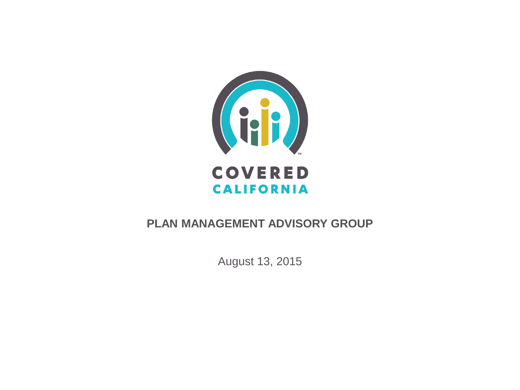

#### **PLAN MANAGEMENT ADVISORY GROUP**

August 13, 2015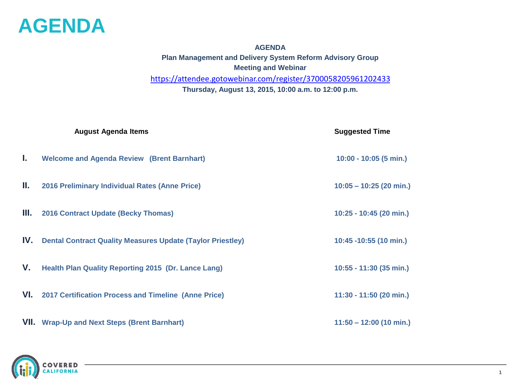

#### **AGENDA Plan Management and Delivery System Reform Advisory Group Meeting and Webinar** <https://attendee.gotowebinar.com/register/3700058205961202433> **Thursday, August 13, 2015, 10:00 a.m. to 12:00 p.m.**

**August Agenda Items Suggested Time I. Welcome and Agenda Review (Brent Barnhart) 10:00 - 10:05 (5 min.) II. 2016 Preliminary Individual Rates (Anne Price) 10:05 – 10:25 (20 min.) III. 2016 Contract Update (Becky Thomas) 10:25 - 10:45 (20 min.) IV. Dental Contract Quality Measures Update (Taylor Priestley) 10:45 -10:55 (10 min.) V. Health Plan Quality Reporting 2015 (Dr. Lance Lang) 10:55 - 11:30 (35 min.) VI. 2017 Certification Process and Timeline (Anne Price) 11:30 - 11:50 (20 min.) VII. Wrap-Up and Next Steps (Brent Barnhart) 11:50 – 12:00 (10 min.)**

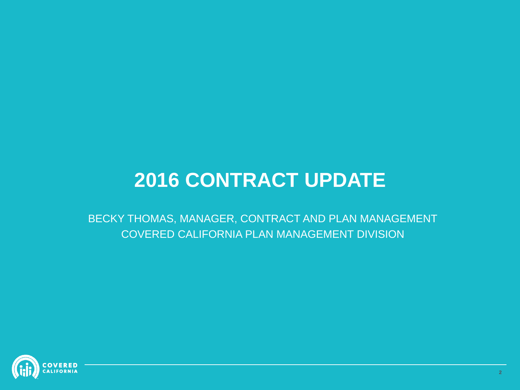### **2016 CONTRACT UPDATE**

BECKY THOMAS, MANAGER, CONTRACT AND PLAN MANAGEMENT COVERED CALIFORNIA PLAN MANAGEMENT DIVISION

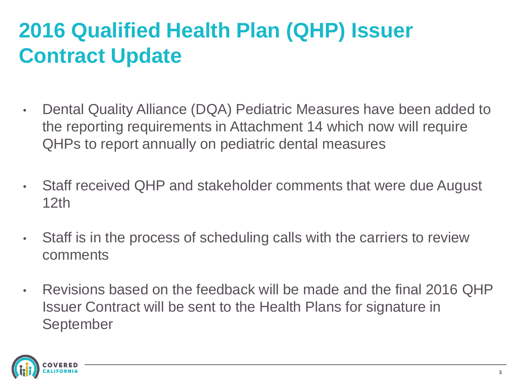## **2016 Qualified Health Plan (QHP) Issuer Contract Update**

- Dental Quality Alliance (DQA) Pediatric Measures have been added to the reporting requirements in Attachment 14 which now will require QHPs to report annually on pediatric dental measures
- Staff received QHP and stakeholder comments that were due August 12th
- Staff is in the process of scheduling calls with the carriers to review comments
- Revisions based on the feedback will be made and the final 2016 QHP Issuer Contract will be sent to the Health Plans for signature in September

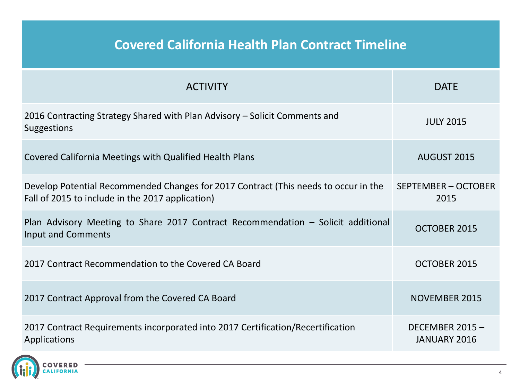#### **Covered California Health Plan Contract Timeline**

| <b>ACTIVITY</b>                                                                                                                         | <b>DATE</b>                           |
|-----------------------------------------------------------------------------------------------------------------------------------------|---------------------------------------|
| 2016 Contracting Strategy Shared with Plan Advisory – Solicit Comments and<br>Suggestions                                               | <b>JULY 2015</b>                      |
| Covered California Meetings with Qualified Health Plans                                                                                 | AUGUST 2015                           |
| Develop Potential Recommended Changes for 2017 Contract (This needs to occur in the<br>Fall of 2015 to include in the 2017 application) | SEPTEMBER - OCTOBER<br>2015           |
| Plan Advisory Meeting to Share 2017 Contract Recommendation $-$ Solicit additional<br>Input and Comments                                | OCTOBER 2015                          |
| 2017 Contract Recommendation to the Covered CA Board                                                                                    | <b>OCTOBER 2015</b>                   |
| 2017 Contract Approval from the Covered CA Board                                                                                        | <b>NOVEMBER 2015</b>                  |
| 2017 Contract Requirements incorporated into 2017 Certification/Recertification<br>Applications                                         | DECEMBER 2015-<br><b>JANUARY 2016</b> |

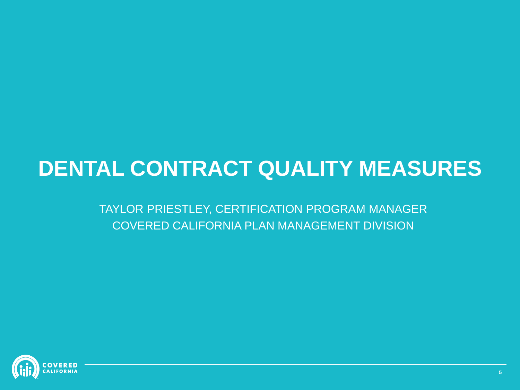## **DENTAL CONTRACT QUALITY MEASURES**

TAYLOR PRIESTLEY, CERTIFICATION PROGRAM MANAGER COVERED CALIFORNIA PLAN MANAGEMENT DIVISION

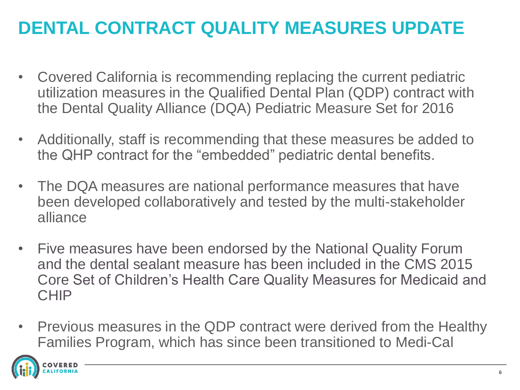### **DENTAL CONTRACT QUALITY MEASURES UPDATE**

- Covered California is recommending replacing the current pediatric utilization measures in the Qualified Dental Plan (QDP) contract with the Dental Quality Alliance (DQA) Pediatric Measure Set for 2016
- Additionally, staff is recommending that these measures be added to the QHP contract for the "embedded" pediatric dental benefits.
- The DQA measures are national performance measures that have been developed collaboratively and tested by the multi-stakeholder alliance
- Five measures have been endorsed by the National Quality Forum and the dental sealant measure has been included in the CMS 2015 Core Set of Children's Health Care Quality Measures for Medicaid and CHIP
- Previous measures in the QDP contract were derived from the Healthy Families Program, which has since been transitioned to Medi-Cal

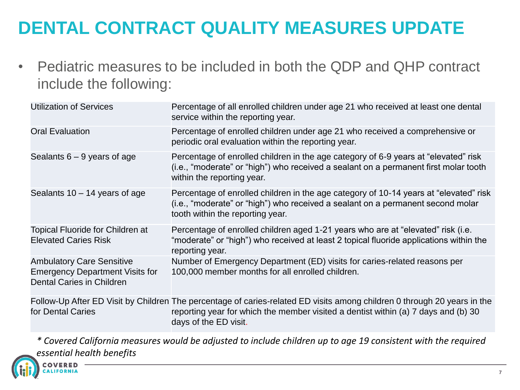### **DENTAL CONTRACT QUALITY MEASURES UPDATE**

• Pediatric measures to be included in both the QDP and QHP contract include the following:

| <b>Utilization of Services</b>                                                                          | Percentage of all enrolled children under age 21 who received at least one dental<br>service within the reporting year.                                                                                                                 |
|---------------------------------------------------------------------------------------------------------|-----------------------------------------------------------------------------------------------------------------------------------------------------------------------------------------------------------------------------------------|
| <b>Oral Evaluation</b>                                                                                  | Percentage of enrolled children under age 21 who received a comprehensive or<br>periodic oral evaluation within the reporting year.                                                                                                     |
| Sealants $6 - 9$ years of age                                                                           | Percentage of enrolled children in the age category of 6-9 years at "elevated" risk<br>(i.e., "moderate" or "high") who received a sealant on a permanent first molar tooth<br>within the reporting year.                               |
| Sealants $10 - 14$ years of age                                                                         | Percentage of enrolled children in the age category of 10-14 years at "elevated" risk<br>(i.e., "moderate" or "high") who received a sealant on a permanent second molar<br>tooth within the reporting year.                            |
| Topical Fluoride for Children at<br><b>Elevated Caries Risk</b>                                         | Percentage of enrolled children aged 1-21 years who are at "elevated" risk (i.e.<br>"moderate" or "high") who received at least 2 topical fluoride applications within the<br>reporting year.                                           |
| <b>Ambulatory Care Sensitive</b><br><b>Emergency Department Visits for</b><br>Dental Caries in Children | Number of Emergency Department (ED) visits for caries-related reasons per<br>100,000 member months for all enrolled children.                                                                                                           |
| for Dental Caries                                                                                       | Follow-Up After ED Visit by Children The percentage of caries-related ED visits among children 0 through 20 years in the<br>reporting year for which the member visited a dentist within (a) 7 days and (b) 30<br>days of the ED visit. |

*\* Covered California measures would be adjusted to include children up to age 19 consistent with the required essential health benefits*

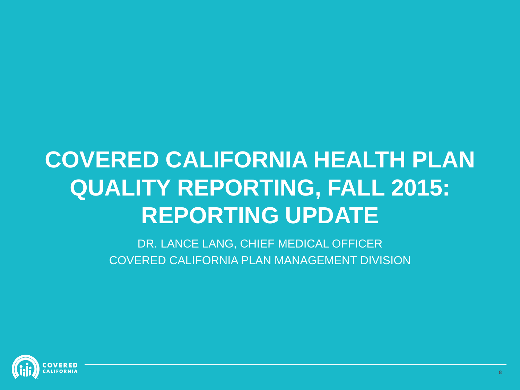# **COVERED CALIFORNIA HEALTH PLAN QUALITY REPORTING, FALL 2015: REPORTING UPDATE**

DR. LANCE LANG, CHIEF MEDICAL OFFICER COVERED CALIFORNIA PLAN MANAGEMENT DIVISION

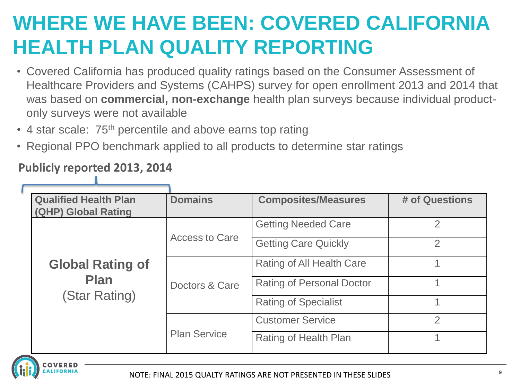### **WHERE WE HAVE BEEN: COVERED CALIFORNIA HEALTH PLAN QUALITY REPORTING**

- Covered California has produced quality ratings based on the Consumer Assessment of Healthcare Providers and Systems (CAHPS) survey for open enrollment 2013 and 2014 that was based on **commercial, non-exchange** health plan surveys because individual productonly surveys were not available
- 4 star scale: 75<sup>th</sup> percentile and above earns top rating
- Regional PPO benchmark applied to all products to determine star ratings

| <b>Qualified Health Plan</b><br>(QHP) Global Rating     | <b>Domains</b>        | <b>Composites/Measures</b>       | # of Questions |
|---------------------------------------------------------|-----------------------|----------------------------------|----------------|
| <b>Global Rating of</b><br><b>Plan</b><br>(Star Rating) | <b>Access to Care</b> | <b>Getting Needed Care</b>       | 2              |
|                                                         |                       | <b>Getting Care Quickly</b>      | $\overline{2}$ |
|                                                         | Doctors & Care        | Rating of All Health Care        |                |
|                                                         |                       | <b>Rating of Personal Doctor</b> |                |
|                                                         |                       | <b>Rating of Specialist</b>      |                |
|                                                         | <b>Plan Service</b>   | <b>Customer Service</b>          | $\mathcal{P}$  |
|                                                         |                       | Rating of Health Plan            |                |

#### **Publicly reported 2013, 2014**

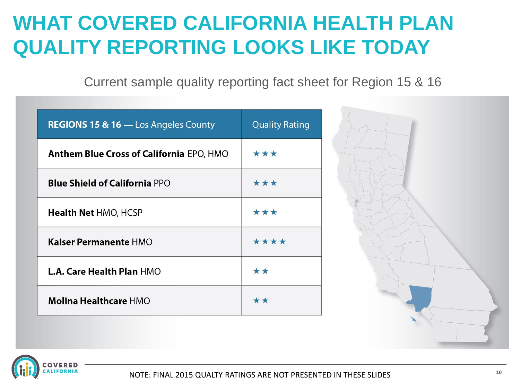### **WHAT COVERED CALIFORNIA HEALTH PLAN QUALITY REPORTING LOOKS LIKE TODAY**

Current sample quality reporting fact sheet for Region 15 & 16

| <b>REGIONS 15 &amp; 16 - Los Angeles County</b> | <b>Quality Rating</b> |
|-------------------------------------------------|-----------------------|
| <b>Anthem Blue Cross of California EPO, HMO</b> | ***                   |
| <b>Blue Shield of California PPO</b>            | ***                   |
| <b>Health Net HMO, HCSP</b>                     | ***                   |
| <b>Kaiser Permanente HMO</b>                    | ****                  |
| <b>L.A. Care Health Plan HMO</b>                | **                    |
| <b>Molina Healthcare HMO</b>                    |                       |



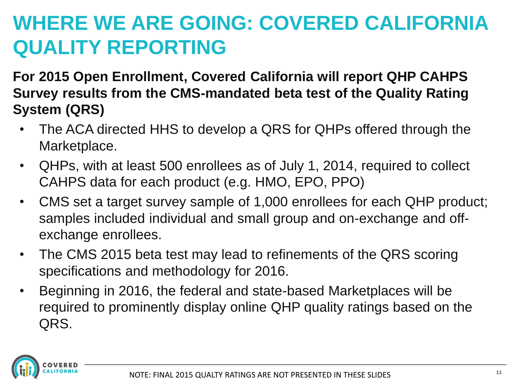### **WHERE WE ARE GOING: COVERED CALIFORNIA QUALITY REPORTING**

**For 2015 Open Enrollment, Covered California will report QHP CAHPS Survey results from the CMS-mandated beta test of the Quality Rating System (QRS)** 

- The ACA directed HHS to develop a QRS for QHPs offered through the Marketplace.
- QHPs, with at least 500 enrollees as of July 1, 2014, required to collect CAHPS data for each product (e.g. HMO, EPO, PPO)
- CMS set a target survey sample of 1,000 enrollees for each QHP product; samples included individual and small group and on-exchange and offexchange enrollees.
- The CMS 2015 beta test may lead to refinements of the QRS scoring specifications and methodology for 2016.
- Beginning in 2016, the federal and state-based Marketplaces will be required to prominently display online QHP quality ratings based on the QRS.

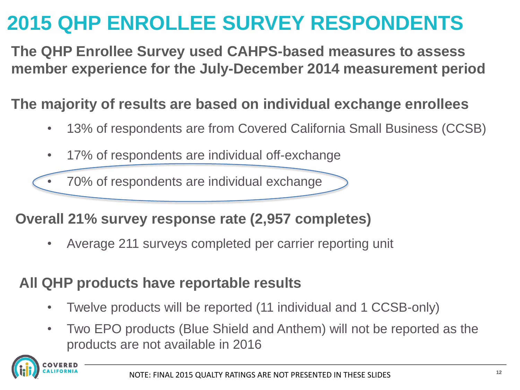## **2015 QHP ENROLLEE SURVEY RESPONDENTS**

**The QHP Enrollee Survey used CAHPS-based measures to assess member experience for the July-December 2014 measurement period**

#### **The majority of results are based on individual exchange enrollees**

- 13% of respondents are from Covered California Small Business (CCSB)
- 17% of respondents are individual off-exchange

• 70% of respondents are individual exchange

#### **Overall 21% survey response rate (2,957 completes)**

• Average 211 surveys completed per carrier reporting unit

#### **All QHP products have reportable results**

- Twelve products will be reported (11 individual and 1 CCSB-only)
- Two EPO products (Blue Shield and Anthem) will not be reported as the products are not available in 2016

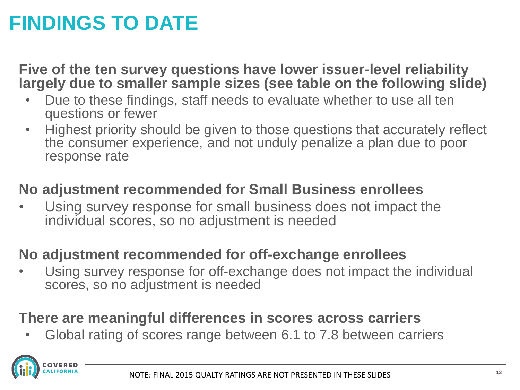### **FINDINGS TO DATE**

**Five of the ten survey questions have lower issuer-level reliability largely due to smaller sample sizes (see table on the following slide)** 

- Due to these findings, staff needs to evaluate whether to use all ten questions or fewer
- Highest priority should be given to those questions that accurately reflect the consumer experience, and not unduly penalize a plan due to poor response rate

#### **No adjustment recommended for Small Business enrollees**

Using survey response for small business does not impact the individual scores, so no adjustment is needed

#### **No adjustment recommended for off-exchange enrollees**

Using survey response for off-exchange does not impact the individual scores, so no adjustment is needed

#### **There are meaningful differences in scores across carriers**

• Global rating of scores range between 6.1 to 7.8 between carriers

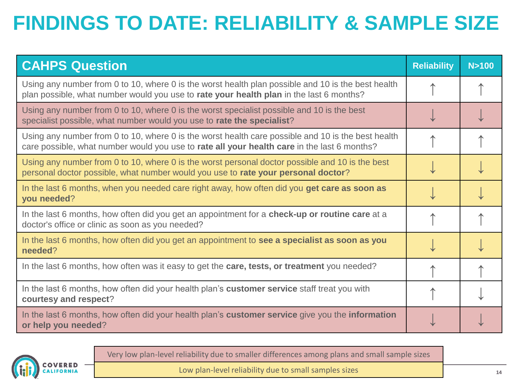## **FINDINGS TO DATE: RELIABILITY & SAMPLE SIZE**

| <b>CAHPS Question</b>                                                                                                                                                                             | <b>Reliability</b> | N>100 |
|---------------------------------------------------------------------------------------------------------------------------------------------------------------------------------------------------|--------------------|-------|
| Using any number from 0 to 10, where 0 is the worst health plan possible and 10 is the best health<br>plan possible, what number would you use to rate your health plan in the last 6 months?     |                    |       |
| Using any number from 0 to 10, where 0 is the worst specialist possible and 10 is the best<br>specialist possible, what number would you use to rate the specialist?                              |                    |       |
| Using any number from 0 to 10, where 0 is the worst health care possible and 10 is the best health<br>care possible, what number would you use to rate all your health care in the last 6 months? |                    |       |
| Using any number from 0 to 10, where 0 is the worst personal doctor possible and 10 is the best<br>personal doctor possible, what number would you use to rate your personal doctor?              |                    |       |
| In the last 6 months, when you needed care right away, how often did you get care as soon as<br>you needed?                                                                                       |                    |       |
| In the last 6 months, how often did you get an appointment for a check-up or routine care at a<br>doctor's office or clinic as soon as you needed?                                                |                    |       |
| In the last 6 months, how often did you get an appointment to see a specialist as soon as you<br>needed?                                                                                          |                    |       |
| In the last 6 months, how often was it easy to get the care, tests, or treatment you needed?                                                                                                      |                    |       |
| In the last 6 months, how often did your health plan's customer service staff treat you with<br>courtesy and respect?                                                                             |                    |       |
| In the last 6 months, how often did your health plan's customer service give you the information<br>or help you needed?                                                                           |                    |       |



Very low plan-level reliability due to smaller differences among plans and small sample sizes

Low plan-level reliability due to small samples sizes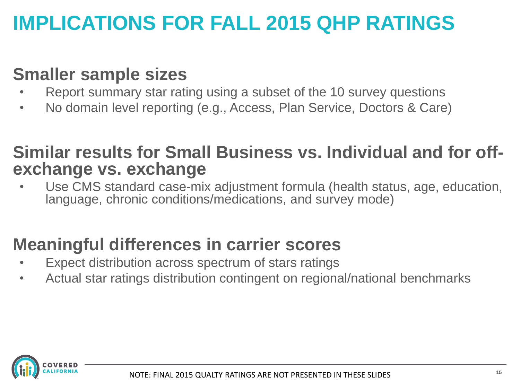### **IMPLICATIONS FOR FALL 2015 QHP RATINGS**

### **Smaller sample sizes**

- Report summary star rating using a subset of the 10 survey questions
- No domain level reporting (e.g., Access, Plan Service, Doctors & Care)

### **Similar results for Small Business vs. Individual and for offexchange vs. exchange**

Use CMS standard case-mix adjustment formula (health status, age, education, language, chronic conditions/medications, and survey mode)

### **Meaningful differences in carrier scores**

- Expect distribution across spectrum of stars ratings
- Actual star ratings distribution contingent on regional/national benchmarks

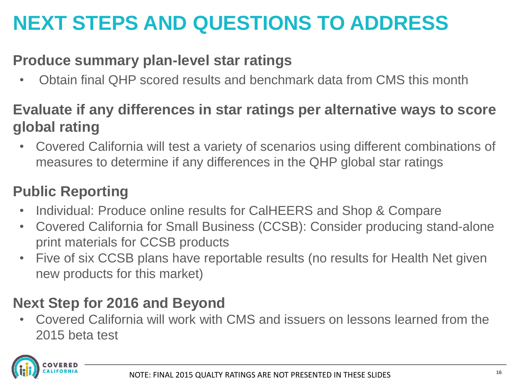## **NEXT STEPS AND QUESTIONS TO ADDRESS**

### **Produce summary plan-level star ratings**

• Obtain final QHP scored results and benchmark data from CMS this month

### **Evaluate if any differences in star ratings per alternative ways to score global rating**

• Covered California will test a variety of scenarios using different combinations of measures to determine if any differences in the QHP global star ratings

### **Public Reporting**

- Individual: Produce online results for CalHEERS and Shop & Compare
- Covered California for Small Business (CCSB): Consider producing stand-alone print materials for CCSB products
- Five of six CCSB plans have reportable results (no results for Health Net given new products for this market)

### **Next Step for 2016 and Beyond**

• Covered California will work with CMS and issuers on lessons learned from the 2015 beta test

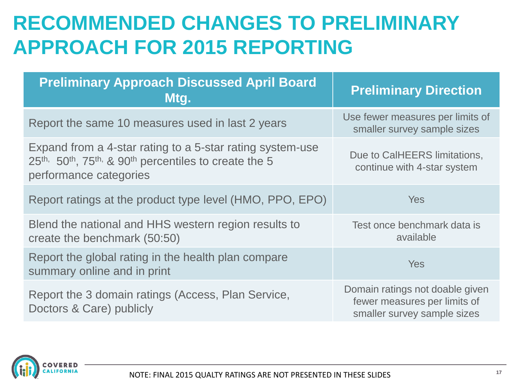### **RECOMMENDED CHANGES TO PRELIMINARY APPROACH FOR 2015 REPORTING**

| <b>Preliminary Approach Discussed April Board</b><br>Mtg.                                                                                   | <b>Preliminary Direction</b>                                                                   |
|---------------------------------------------------------------------------------------------------------------------------------------------|------------------------------------------------------------------------------------------------|
| Report the same 10 measures used in last 2 years                                                                                            | Use fewer measures per limits of<br>smaller survey sample sizes                                |
| Expand from a 4-star rating to a 5-star rating system-use<br>25th, 50th, 75th, & 90th percentiles to create the 5<br>performance categories | Due to CalHEERS limitations,<br>continue with 4-star system                                    |
| Report ratings at the product type level (HMO, PPO, EPO)                                                                                    | Yes                                                                                            |
| Blend the national and HHS western region results to<br>create the benchmark (50:50)                                                        | Test once benchmark data is<br>available                                                       |
| Report the global rating in the health plan compare<br>summary online and in print                                                          | <b>Yes</b>                                                                                     |
| Report the 3 domain ratings (Access, Plan Service,<br>Doctors & Care) publicly                                                              | Domain ratings not doable given<br>fewer measures per limits of<br>smaller survey sample sizes |

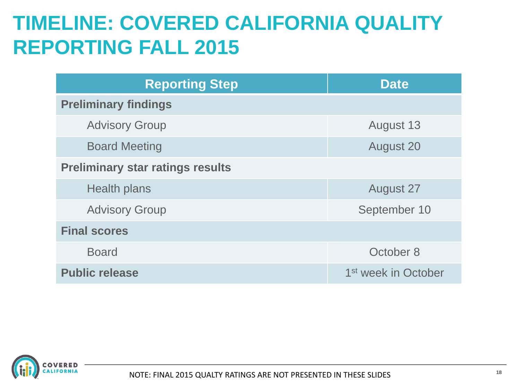### **TIMELINE: COVERED CALIFORNIA QUALITY REPORTING FALL 2015**

| <b>Reporting Step</b>                   | <b>Date</b>                     |
|-----------------------------------------|---------------------------------|
| <b>Preliminary findings</b>             |                                 |
| <b>Advisory Group</b>                   | <b>August 13</b>                |
| <b>Board Meeting</b>                    | <b>August 20</b>                |
| <b>Preliminary star ratings results</b> |                                 |
| <b>Health plans</b>                     | <b>August 27</b>                |
| <b>Advisory Group</b>                   | September 10                    |
| <b>Final scores</b>                     |                                 |
| <b>Board</b>                            | October 8                       |
| <b>Public release</b>                   | 1 <sup>st</sup> week in October |

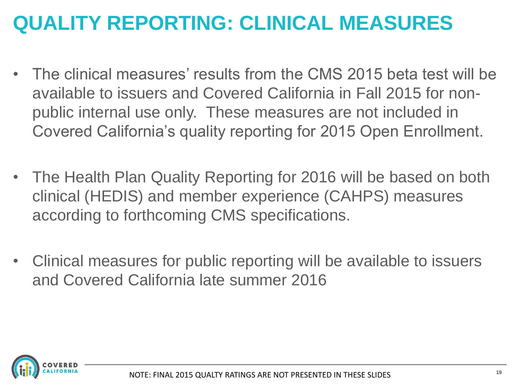### **QUALITY REPORTING: CLINICAL MEASURES**

- The clinical measures' results from the CMS 2015 beta test will be available to issuers and Covered California in Fall 2015 for nonpublic internal use only. These measures are not included in Covered California's quality reporting for 2015 Open Enrollment.
- The Health Plan Quality Reporting for 2016 will be based on both clinical (HEDIS) and member experience (CAHPS) measures according to forthcoming CMS specifications.
- Clinical measures for public reporting will be available to issuers and Covered California late summer 2016

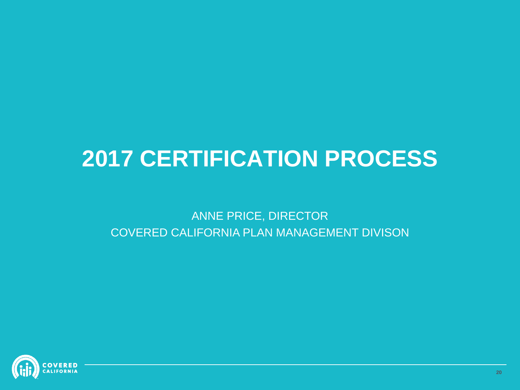## **2017 CERTIFICATION PROCESS**

ANNE PRICE, DIRECTOR COVERED CALIFORNIA PLAN MANAGEMENT DIVISON

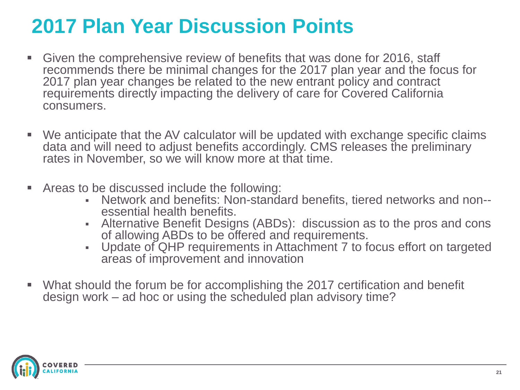### **2017 Plan Year Discussion Points**

- Given the comprehensive review of benefits that was done for 2016, staff recommends there be minimal changes for the 2017 plan year and the focus for 2017 plan year changes be related to the new entrant policy and contract requirements directly impacting the delivery of care for Covered California consumers.
- We anticipate that the AV calculator will be updated with exchange specific claims data and will need to adjust benefits accordingly. CMS releases the preliminary rates in November, so we will know more at that time.
- Areas to be discussed include the following:
	- Network and benefits: Non-standard benefits, tiered networks and non- essential health benefits.
	- Alternative Benefit Designs (ABDs): discussion as to the pros and cons of allowing ABDs to be offered and requirements.
	- Update of QHP requirements in Attachment 7 to focus effort on targeted areas of improvement and innovation
- What should the forum be for accomplishing the 2017 certification and benefit design work – ad hoc or using the scheduled plan advisory time?

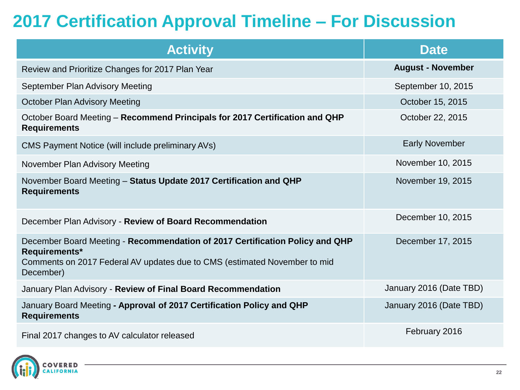### **2017 Certification Approval Timeline – For Discussion**

| <b>Activity</b>                                                                                                                                                                         | <b>Date</b>              |
|-----------------------------------------------------------------------------------------------------------------------------------------------------------------------------------------|--------------------------|
| Review and Prioritize Changes for 2017 Plan Year                                                                                                                                        | <b>August - November</b> |
| September Plan Advisory Meeting                                                                                                                                                         | September 10, 2015       |
| <b>October Plan Advisory Meeting</b>                                                                                                                                                    | October 15, 2015         |
| October Board Meeting - Recommend Principals for 2017 Certification and QHP<br><b>Requirements</b>                                                                                      | October 22, 2015         |
| CMS Payment Notice (will include preliminary AVs)                                                                                                                                       | <b>Early November</b>    |
| November Plan Advisory Meeting                                                                                                                                                          | November 10, 2015        |
| November Board Meeting - Status Update 2017 Certification and QHP<br><b>Requirements</b>                                                                                                | November 19, 2015        |
| December Plan Advisory - Review of Board Recommendation                                                                                                                                 | December 10, 2015        |
| December Board Meeting - Recommendation of 2017 Certification Policy and QHP<br>Requirements*<br>Comments on 2017 Federal AV updates due to CMS (estimated November to mid<br>December) | December 17, 2015        |
| January Plan Advisory - Review of Final Board Recommendation                                                                                                                            | January 2016 (Date TBD)  |
| January Board Meeting - Approval of 2017 Certification Policy and QHP<br><b>Requirements</b>                                                                                            | January 2016 (Date TBD)  |
| Final 2017 changes to AV calculator released                                                                                                                                            | February 2016            |